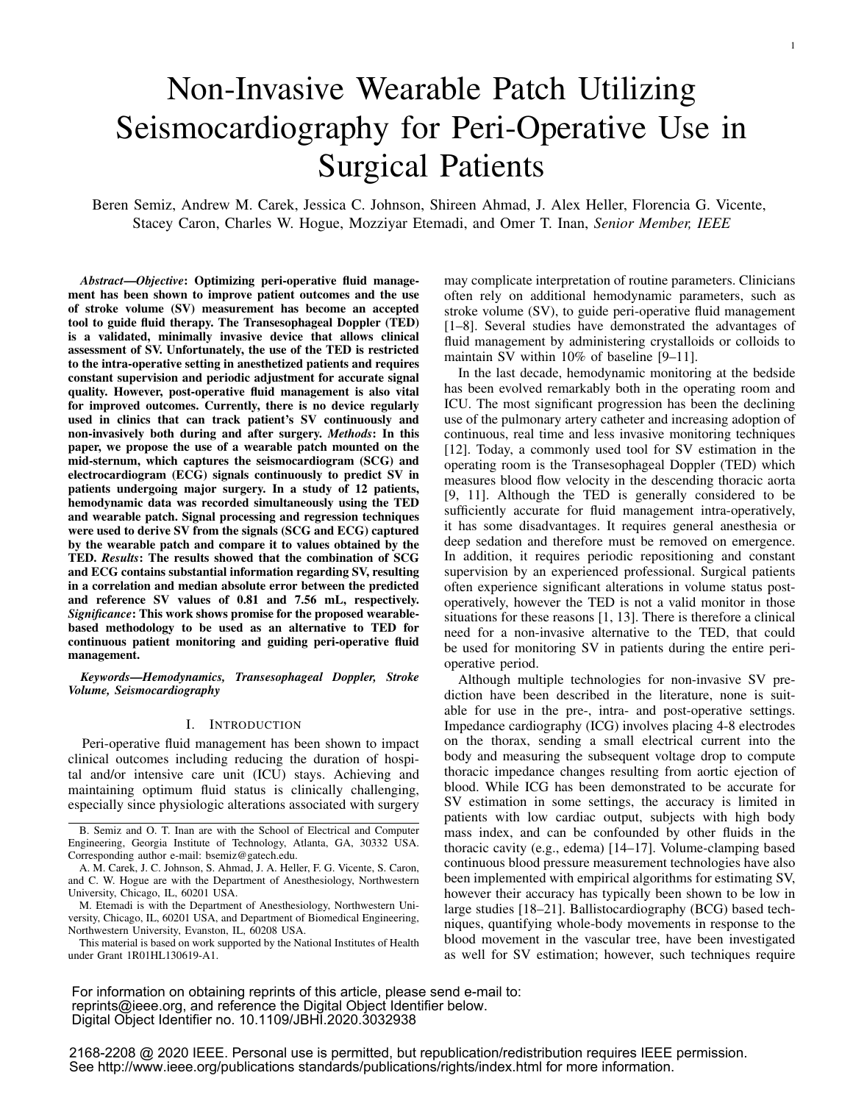# Non-Invasive Wearable Patch Utilizing Seismocardiography for Peri-Operative Use in Surgical Patients

Beren Semiz, Andrew M. Carek, Jessica C. Johnson, Shireen Ahmad, J. Alex Heller, Florencia G. Vicente, Stacey Caron, Charles W. Hogue, Mozziyar Etemadi, and Omer T. Inan, *Senior Member, IEEE*

*Abstract*—*Objective*: Optimizing peri-operative fluid management has been shown to improve patient outcomes and the use of stroke volume (SV) measurement has become an accepted tool to guide fluid therapy. The Transesophageal Doppler (TED) is a validated, minimally invasive device that allows clinical assessment of SV. Unfortunately, the use of the TED is restricted to the intra-operative setting in anesthetized patients and requires constant supervision and periodic adjustment for accurate signal quality. However, post-operative fluid management is also vital for improved outcomes. Currently, there is no device regularly used in clinics that can track patient's SV continuously and non-invasively both during and after surgery. *Methods*: In this paper, we propose the use of a wearable patch mounted on the mid-sternum, which captures the seismocardiogram (SCG) and electrocardiogram (ECG) signals continuously to predict SV in patients undergoing major surgery. In a study of 12 patients, hemodynamic data was recorded simultaneously using the TED and wearable patch. Signal processing and regression techniques were used to derive SV from the signals (SCG and ECG) captured by the wearable patch and compare it to values obtained by the TED. *Results*: The results showed that the combination of SCG and ECG contains substantial information regarding SV, resulting in a correlation and median absolute error between the predicted and reference SV values of 0.81 and 7.56 mL, respectively. *Significance*: This work shows promise for the proposed wearablebased methodology to be used as an alternative to TED for continuous patient monitoring and guiding peri-operative fluid management.

*Keywords*—*Hemodynamics, Transesophageal Doppler, Stroke Volume, Seismocardiography*

#### I. INTRODUCTION

Peri-operative fluid management has been shown to impact clinical outcomes including reducing the duration of hospital and/or intensive care unit (ICU) stays. Achieving and maintaining optimum fluid status is clinically challenging, especially since physiologic alterations associated with surgery

M. Etemadi is with the Department of Anesthesiology, Northwestern University, Chicago, IL, 60201 USA, and Department of Biomedical Engineering, Northwestern University, Evanston, IL, 60208 USA.

This material is based on work supported by the National Institutes of Health under Grant 1R01HL130619-A1.

may complicate interpretation of routine parameters. Clinicians often rely on additional hemodynamic parameters, such as stroke volume (SV), to guide peri-operative fluid management [1–8]. Several studies have demonstrated the advantages of fluid management by administering crystalloids or colloids to maintain SV within 10% of baseline [9–11].

In the last decade, hemodynamic monitoring at the bedside has been evolved remarkably both in the operating room and ICU. The most significant progression has been the declining use of the pulmonary artery catheter and increasing adoption of continuous, real time and less invasive monitoring techniques [12]. Today, a commonly used tool for SV estimation in the operating room is the Transesophageal Doppler (TED) which measures blood flow velocity in the descending thoracic aorta [9, 11]. Although the TED is generally considered to be sufficiently accurate for fluid management intra-operatively, it has some disadvantages. It requires general anesthesia or deep sedation and therefore must be removed on emergence. In addition, it requires periodic repositioning and constant supervision by an experienced professional. Surgical patients often experience significant alterations in volume status postoperatively, however the TED is not a valid monitor in those situations for these reasons [1, 13]. There is therefore a clinical need for a non-invasive alternative to the TED, that could be used for monitoring SV in patients during the entire perioperative period.

Although multiple technologies for non-invasive SV prediction have been described in the literature, none is suitable for use in the pre-, intra- and post-operative settings. Impedance cardiography (ICG) involves placing 4-8 electrodes on the thorax, sending a small electrical current into the body and measuring the subsequent voltage drop to compute thoracic impedance changes resulting from aortic ejection of blood. While ICG has been demonstrated to be accurate for SV estimation in some settings, the accuracy is limited in patients with low cardiac output, subjects with high body mass index, and can be confounded by other fluids in the thoracic cavity (e.g., edema) [14–17]. Volume-clamping based continuous blood pressure measurement technologies have also been implemented with empirical algorithms for estimating SV, however their accuracy has typically been shown to be low in large studies [18–21]. Ballistocardiography (BCG) based techniques, quantifying whole-body movements in response to the blood movement in the vascular tree, have been investigated as well for SV estimation; however, such techniques require

For information on obtaining reprints of this article, please send e-mail to: reprints@ieee.org, and reference the Digital Object Identifier below. Digital Object Identifier no. 10.1109/JBHI.2020.3032938

2168-2208 @ 2020 IEEE. Personal use is permitted, but republication/redistribution requires IEEE permission. See http://www.ieee.org/publications standards/publications/rights/index.html for more information.

B. Semiz and O. T. Inan are with the School of Electrical and Computer Engineering, Georgia Institute of Technology, Atlanta, GA, 30332 USA. Corresponding author e-mail: bsemiz@gatech.edu.

A. M. Carek, J. C. Johnson, S. Ahmad, J. A. Heller, F. G. Vicente, S. Caron, and C. W. Hogue are with the Department of Anesthesiology, Northwestern University, Chicago, IL, 60201 USA.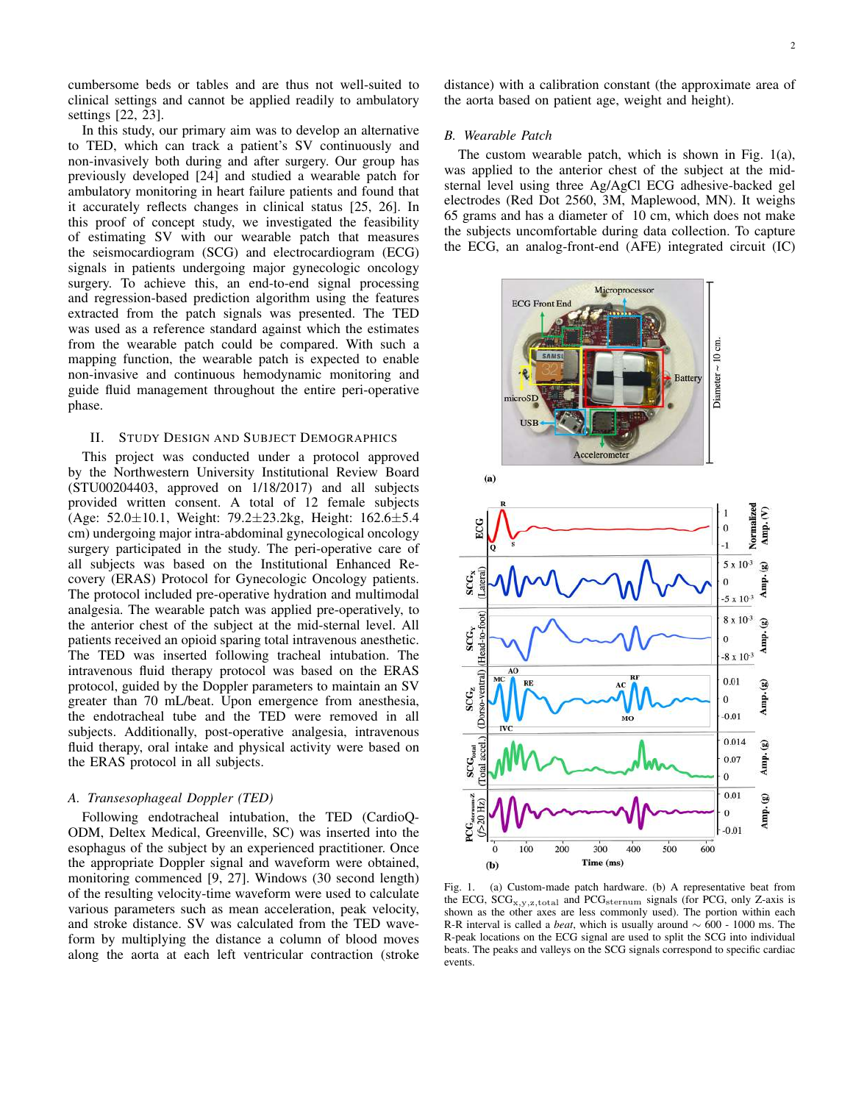cumbersome beds or tables and are thus not well-suited to clinical settings and cannot be applied readily to ambulatory settings [22, 23].

In this study, our primary aim was to develop an alternative to TED, which can track a patient's SV continuously and non-invasively both during and after surgery. Our group has previously developed [24] and studied a wearable patch for ambulatory monitoring in heart failure patients and found that it accurately reflects changes in clinical status [25, 26]. In this proof of concept study, we investigated the feasibility of estimating SV with our wearable patch that measures the seismocardiogram (SCG) and electrocardiogram (ECG) signals in patients undergoing major gynecologic oncology surgery. To achieve this, an end-to-end signal processing and regression-based prediction algorithm using the features extracted from the patch signals was presented. The TED was used as a reference standard against which the estimates from the wearable patch could be compared. With such a mapping function, the wearable patch is expected to enable non-invasive and continuous hemodynamic monitoring and guide fluid management throughout the entire peri-operative phase.

# II. STUDY DESIGN AND SUBJECT DEMOGRAPHICS

This project was conducted under a protocol approved by the Northwestern University Institutional Review Board (STU00204403, approved on 1/18/2017) and all subjects provided written consent. A total of 12 female subjects (Age:  $52.0 \pm 10.1$ , Weight:  $79.2 \pm 23.2$ kg, Height:  $162.6 \pm 5.4$ cm) undergoing major intra-abdominal gynecological oncology surgery participated in the study. The peri-operative care of all subjects was based on the Institutional Enhanced Recovery (ERAS) Protocol for Gynecologic Oncology patients. The protocol included pre-operative hydration and multimodal analgesia. The wearable patch was applied pre-operatively, to the anterior chest of the subject at the mid-sternal level. All patients received an opioid sparing total intravenous anesthetic. The TED was inserted following tracheal intubation. The intravenous fluid therapy protocol was based on the ERAS protocol, guided by the Doppler parameters to maintain an SV greater than 70 mL/beat. Upon emergence from anesthesia, the endotracheal tube and the TED were removed in all subjects. Additionally, post-operative analgesia, intravenous fluid therapy, oral intake and physical activity were based on the ERAS protocol in all subjects.

# *A. Transesophageal Doppler (TED)*

Following endotracheal intubation, the TED (CardioQ-ODM, Deltex Medical, Greenville, SC) was inserted into the esophagus of the subject by an experienced practitioner. Once the appropriate Doppler signal and waveform were obtained, monitoring commenced [9, 27]. Windows (30 second length) of the resulting velocity-time waveform were used to calculate various parameters such as mean acceleration, peak velocity, and stroke distance. SV was calculated from the TED waveform by multiplying the distance a column of blood moves along the aorta at each left ventricular contraction (stroke distance) with a calibration constant (the approximate area of the aorta based on patient age, weight and height).

### *B. Wearable Patch*

The custom wearable patch, which is shown in Fig. 1(a), was applied to the anterior chest of the subject at the midsternal level using three Ag/AgCl ECG adhesive-backed gel electrodes (Red Dot 2560, 3M, Maplewood, MN). It weighs 65 grams and has a diameter of 10 cm, which does not make the subjects uncomfortable during data collection. To capture the ECG, an analog-front-end (AFE) integrated circuit (IC)



Fig. 1. (a) Custom-made patch hardware. (b) A representative beat from the ECG,  $SCG_{x,y,z,total}$  and  $PCG_{\text{sternum}}$  signals (for PCG, only Z-axis is shown as the other axes are less commonly used). The portion within each R-R interval is called a *beat*, which is usually around ∼ 600 - 1000 ms. The R-peak locations on the ECG signal are used to split the SCG into individual beats. The peaks and valleys on the SCG signals correspond to specific cardiac events.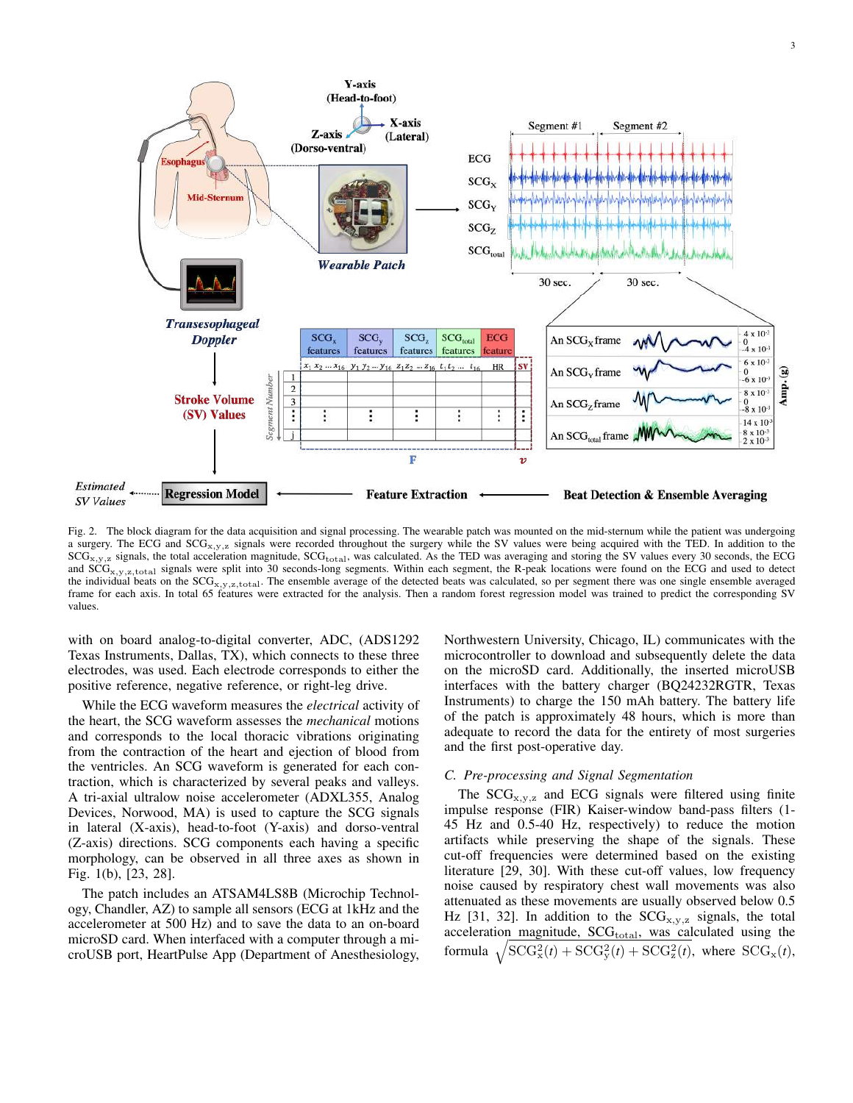

Fig. 2. The block diagram for the data acquisition and signal processing. The wearable patch was mounted on the mid-sternum while the patient was undergoing a surgery. The ECG and  $SCG_{x,y,z}$  signals were recorded throughout the surgery while the SV values were being acquired with the TED. In addition to the  $SCG_{x,y,z}$  signals, the total acceleration magnitude,  $SCG_{\text{total}}$ , was calculated. As the TED was averaging and storing the SV values every 30 seconds, the ECG and  $SCG_{x,y,z,total}$  signals were split into 30 seconds-long segments. Within each segment, the R-peak locations were found on the ECG and used to detect the individual beats on the SCG<sub>x,y,z,total</sub>. The ensemble average of the detected beats was calculated, so per segment there was one single ensemble averaged frame for each axis. In total 65 features were extracted for the analysis. Then a random forest regression model was trained to predict the corresponding SV values.

with on board analog-to-digital converter, ADC, (ADS1292 Texas Instruments, Dallas, TX), which connects to these three electrodes, was used. Each electrode corresponds to either the positive reference, negative reference, or right-leg drive.

While the ECG waveform measures the *electrical* activity of the heart, the SCG waveform assesses the *mechanical* motions and corresponds to the local thoracic vibrations originating from the contraction of the heart and ejection of blood from the ventricles. An SCG waveform is generated for each contraction, which is characterized by several peaks and valleys. A tri-axial ultralow noise accelerometer (ADXL355, Analog Devices, Norwood, MA) is used to capture the SCG signals in lateral (X-axis), head-to-foot (Y-axis) and dorso-ventral (Z-axis) directions. SCG components each having a specific morphology, can be observed in all three axes as shown in Fig. 1(b), [23, 28].

The patch includes an ATSAM4LS8B (Microchip Technology, Chandler, AZ) to sample all sensors (ECG at 1kHz and the accelerometer at 500 Hz) and to save the data to an on-board microSD card. When interfaced with a computer through a microUSB port, HeartPulse App (Department of Anesthesiology,

Northwestern University, Chicago, IL) communicates with the microcontroller to download and subsequently delete the data on the microSD card. Additionally, the inserted microUSB interfaces with the battery charger (BQ24232RGTR, Texas Instruments) to charge the 150 mAh battery. The battery life of the patch is approximately 48 hours, which is more than adequate to record the data for the entirety of most surgeries and the first post-operative day.

## *C. Pre-processing and Signal Segmentation*

The  $SCG_{x,y,z}$  and ECG signals were filtered using finite impulse response (FIR) Kaiser-window band-pass filters (1- 45 Hz and 0.5-40 Hz, respectively) to reduce the motion artifacts while preserving the shape of the signals. These cut-off frequencies were determined based on the existing literature [29, 30]. With these cut-off values, low frequency noise caused by respiratory chest wall movements was also attenuated as these movements are usually observed below 0.5 Hz [31, 32]. In addition to the  $SCG_{x,y,z}$  signals, the total acceleration magnitude,  $SCG<sub>total</sub>$ , was calculated using the formula  $\sqrt{SCG_x^2(t) + SCG_y^2(t) + SCG_z^2(t)}$ , where  $SCG_x(t)$ ,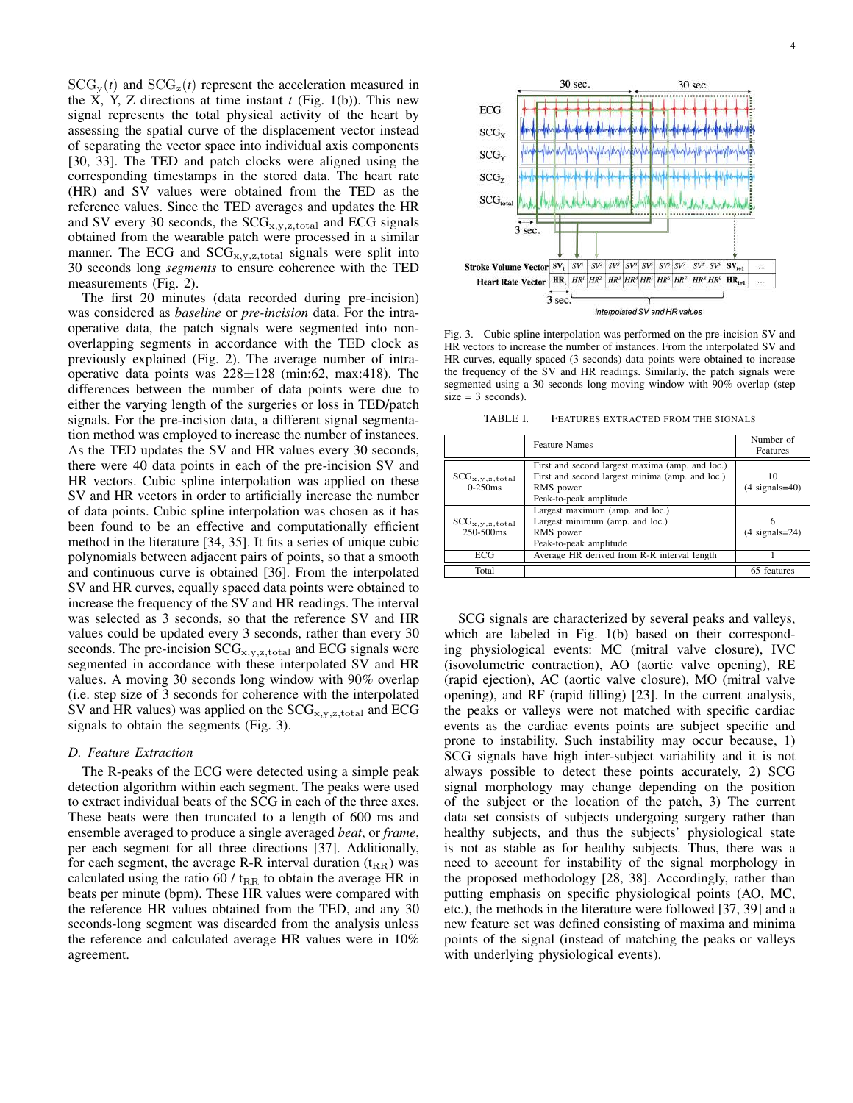$SCG_v(t)$  and  $SCG_z(t)$  represent the acceleration measured in the X, Y, Z directions at time instant  $t$  (Fig. 1(b)). This new signal represents the total physical activity of the heart by assessing the spatial curve of the displacement vector instead of separating the vector space into individual axis components [30, 33]. The TED and patch clocks were aligned using the corresponding timestamps in the stored data. The heart rate (HR) and SV values were obtained from the TED as the reference values. Since the TED averages and updates the HR and SV every 30 seconds, the  $SCG_{x,y,z,\text{total}}$  and ECG signals obtained from the wearable patch were processed in a similar manner. The ECG and  $SCG_{x,y,z,\text{total}}$  signals were split into 30 seconds long *segments* to ensure coherence with the TED measurements (Fig. 2).

The first 20 minutes (data recorded during pre-incision) was considered as *baseline* or *pre-incision* data. For the intraoperative data, the patch signals were segmented into nonoverlapping segments in accordance with the TED clock as previously explained (Fig. 2). The average number of intraoperative data points was  $228 \pm 128$  (min:62, max:418). The differences between the number of data points were due to either the varying length of the surgeries or loss in TED/patch signals. For the pre-incision data, a different signal segmentation method was employed to increase the number of instances. As the TED updates the SV and HR values every 30 seconds, there were 40 data points in each of the pre-incision SV and HR vectors. Cubic spline interpolation was applied on these SV and HR vectors in order to artificially increase the number of data points. Cubic spline interpolation was chosen as it has been found to be an effective and computationally efficient method in the literature [34, 35]. It fits a series of unique cubic polynomials between adjacent pairs of points, so that a smooth and continuous curve is obtained [36]. From the interpolated SV and HR curves, equally spaced data points were obtained to increase the frequency of the SV and HR readings. The interval was selected as 3 seconds, so that the reference SV and HR values could be updated every 3 seconds, rather than every 30 seconds. The pre-incision  $SCG_{x,y,z,\text{total}}$  and ECG signals were segmented in accordance with these interpolated SV and HR values. A moving 30 seconds long window with 90% overlap (i.e. step size of 3 seconds for coherence with the interpolated SV and HR values) was applied on the  $SCG_{x,y,z,\text{total}}$  and  $ECG$ signals to obtain the segments (Fig. 3).

#### *D. Feature Extraction*

The R-peaks of the ECG were detected using a simple peak detection algorithm within each segment. The peaks were used to extract individual beats of the SCG in each of the three axes. These beats were then truncated to a length of 600 ms and ensemble averaged to produce a single averaged *beat*, or *frame*, per each segment for all three directions [37]. Additionally, for each segment, the average R-R interval duration  $(t_{RR})$  was calculated using the ratio 60 /  $t_{RR}$  to obtain the average HR in beats per minute (bpm). These HR values were compared with the reference HR values obtained from the TED, and any 30 seconds-long segment was discarded from the analysis unless the reference and calculated average HR values were in 10% agreement.



Fig. 3. Cubic spline interpolation was performed on the pre-incision SV and HR vectors to increase the number of instances. From the interpolated SV and HR curves, equally spaced (3 seconds) data points were obtained to increase the frequency of the SV and HR readings. Similarly, the patch signals were segmented using a 30 seconds long moving window with 90% overlap (step  $size = 3 seconds.$ 

TABLE I. FEATURES EXTRACTED FROM THE SIGNALS

|                                            | <b>Feature Names</b>                                                                                                                      | Number of<br>Features  |
|--------------------------------------------|-------------------------------------------------------------------------------------------------------------------------------------------|------------------------|
| $SCG_{x,y,z,\text{total}}$<br>$0 - 250$ ms | First and second largest maxima (amp. and loc.)<br>First and second largest minima (amp. and loc.)<br>RMS power<br>Peak-to-peak amplitude | 10<br>$(4$ signals=40) |
| $SCG_{x,y,z,\text{total}}$<br>250-500ms    | Largest maximum (amp. and loc.)<br>Largest minimum (amp. and loc.)<br>RMS power<br>Peak-to-peak amplitude                                 | $(4$ signals= $24)$    |
| ECG                                        | Average HR derived from R-R interval length                                                                                               |                        |
| Total                                      |                                                                                                                                           | 65 features            |

SCG signals are characterized by several peaks and valleys, which are labeled in Fig. 1(b) based on their corresponding physiological events: MC (mitral valve closure), IVC (isovolumetric contraction), AO (aortic valve opening), RE (rapid ejection), AC (aortic valve closure), MO (mitral valve opening), and RF (rapid filling) [23]. In the current analysis, the peaks or valleys were not matched with specific cardiac events as the cardiac events points are subject specific and prone to instability. Such instability may occur because, 1) SCG signals have high inter-subject variability and it is not always possible to detect these points accurately, 2) SCG signal morphology may change depending on the position of the subject or the location of the patch, 3) The current data set consists of subjects undergoing surgery rather than healthy subjects, and thus the subjects' physiological state is not as stable as for healthy subjects. Thus, there was a need to account for instability of the signal morphology in the proposed methodology [28, 38]. Accordingly, rather than putting emphasis on specific physiological points (AO, MC, etc.), the methods in the literature were followed [37, 39] and a new feature set was defined consisting of maxima and minima points of the signal (instead of matching the peaks or valleys with underlying physiological events).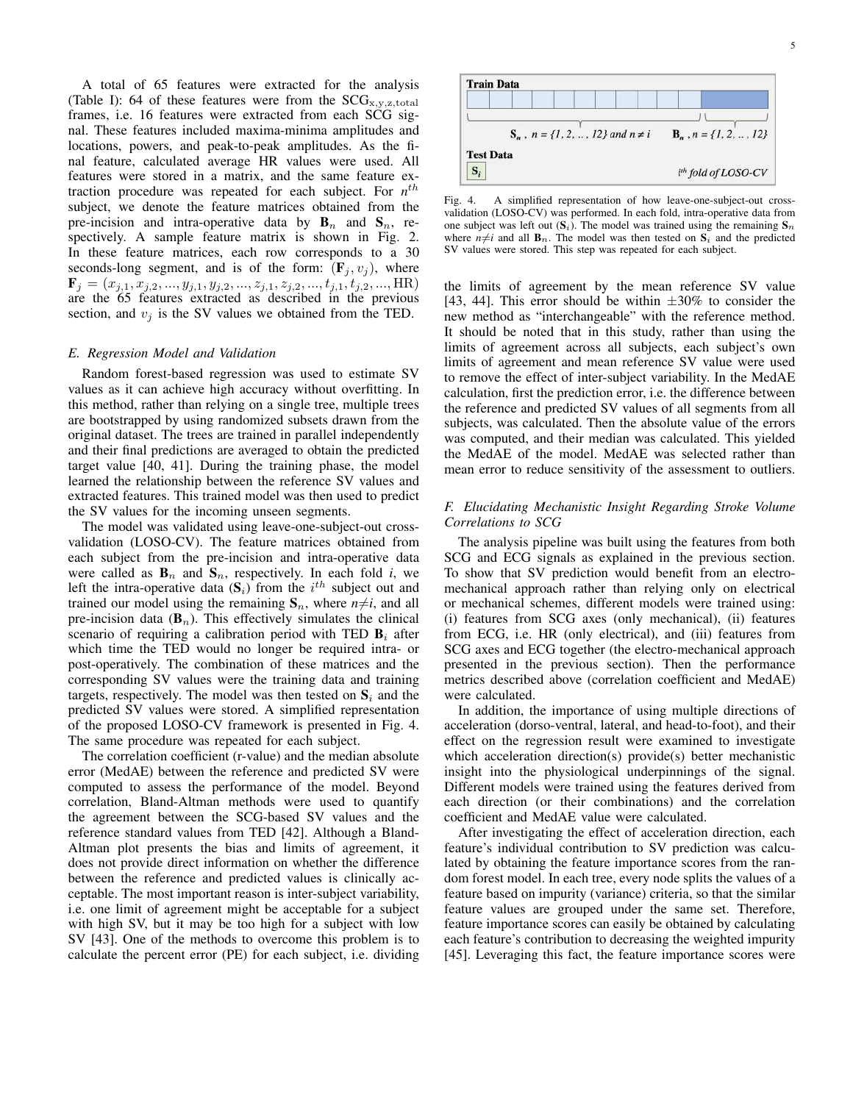A total of 65 features were extracted for the analysis (Table I): 64 of these features were from the  $SCG_{x,y,z,total}$ frames, i.e. 16 features were extracted from each SCG signal. These features included maxima-minima amplitudes and locations, powers, and peak-to-peak amplitudes. As the final feature, calculated average HR values were used. All features were stored in a matrix, and the same feature extraction procedure was repeated for each subject. For  $n^{th}$ subject, we denote the feature matrices obtained from the pre-incision and intra-operative data by  $\mathbf{B}_n$  and  $\mathbf{S}_n$ , respectively. A sample feature matrix is shown in Fig. 2. In these feature matrices, each row corresponds to a 30 seconds-long segment, and is of the form:  $(\mathbf{F}_j, v_j)$ , where  $\mathbf{F}_j = (x_{j,1}, x_{j,2}, ..., y_{j,1}, y_{j,2}, ..., z_{j,1}, z_{j,2}, ..., t_{j,1}, t_{j,2}, ..., \text{HR})$ are the 65 features extracted as described in the previous section, and  $v_i$  is the SV values we obtained from the TED.

#### *E. Regression Model and Validation*

Random forest-based regression was used to estimate SV values as it can achieve high accuracy without overfitting. In this method, rather than relying on a single tree, multiple trees are bootstrapped by using randomized subsets drawn from the original dataset. The trees are trained in parallel independently and their final predictions are averaged to obtain the predicted target value [40, 41]. During the training phase, the model learned the relationship between the reference SV values and extracted features. This trained model was then used to predict the SV values for the incoming unseen segments.

The model was validated using leave-one-subject-out crossvalidation (LOSO-CV). The feature matrices obtained from each subject from the pre-incision and intra-operative data were called as  $\mathbf{B}_n$  and  $\mathbf{S}_n$ , respectively. In each fold *i*, we left the intra-operative data  $(S_i)$  from the  $i^{th}$  subject out and trained our model using the remaining  $S_n$ , where  $n \neq i$ , and all pre-incision data  $(\mathbf{B}_n)$ . This effectively simulates the clinical scenario of requiring a calibration period with TED  $B_i$  after which time the TED would no longer be required intra- or post-operatively. The combination of these matrices and the corresponding SV values were the training data and training targets, respectively. The model was then tested on  $S_i$  and the predicted SV values were stored. A simplified representation of the proposed LOSO-CV framework is presented in Fig. 4. The same procedure was repeated for each subject.

The correlation coefficient (r-value) and the median absolute error (MedAE) between the reference and predicted SV were computed to assess the performance of the model. Beyond correlation, Bland-Altman methods were used to quantify the agreement between the SCG-based SV values and the reference standard values from TED [42]. Although a Bland-Altman plot presents the bias and limits of agreement, it does not provide direct information on whether the difference between the reference and predicted values is clinically acceptable. The most important reason is inter-subject variability, i.e. one limit of agreement might be acceptable for a subject with high SV, but it may be too high for a subject with low SV [43]. One of the methods to overcome this problem is to calculate the percent error (PE) for each subject, i.e. dividing



Fig. 4. A simplified representation of how leave-one-subject-out crossvalidation (LOSO-CV) was performed. In each fold, intra-operative data from one subject was left out  $(S_i)$ . The model was trained using the remaining  $S_n$ where  $n\neq i$  and all  $\mathbf{B}_n$ . The model was then tested on  $\mathbf{S}_i$  and the predicted SV values were stored. This step was repeated for each subject.

the limits of agreement by the mean reference SV value [43, 44]. This error should be within  $\pm 30\%$  to consider the new method as "interchangeable" with the reference method. It should be noted that in this study, rather than using the limits of agreement across all subjects, each subject's own limits of agreement and mean reference SV value were used to remove the effect of inter-subject variability. In the MedAE calculation, first the prediction error, i.e. the difference between the reference and predicted SV values of all segments from all subjects, was calculated. Then the absolute value of the errors was computed, and their median was calculated. This yielded the MedAE of the model. MedAE was selected rather than mean error to reduce sensitivity of the assessment to outliers.

# *F. Elucidating Mechanistic Insight Regarding Stroke Volume Correlations to SCG*

The analysis pipeline was built using the features from both SCG and ECG signals as explained in the previous section. To show that SV prediction would benefit from an electromechanical approach rather than relying only on electrical or mechanical schemes, different models were trained using: (i) features from SCG axes (only mechanical), (ii) features from ECG, i.e. HR (only electrical), and (iii) features from SCG axes and ECG together (the electro-mechanical approach presented in the previous section). Then the performance metrics described above (correlation coefficient and MedAE) were calculated.

In addition, the importance of using multiple directions of acceleration (dorso-ventral, lateral, and head-to-foot), and their effect on the regression result were examined to investigate which acceleration direction(s) provide(s) better mechanistic insight into the physiological underpinnings of the signal. Different models were trained using the features derived from each direction (or their combinations) and the correlation coefficient and MedAE value were calculated.

After investigating the effect of acceleration direction, each feature's individual contribution to SV prediction was calculated by obtaining the feature importance scores from the random forest model. In each tree, every node splits the values of a feature based on impurity (variance) criteria, so that the similar feature values are grouped under the same set. Therefore, feature importance scores can easily be obtained by calculating each feature's contribution to decreasing the weighted impurity [45]. Leveraging this fact, the feature importance scores were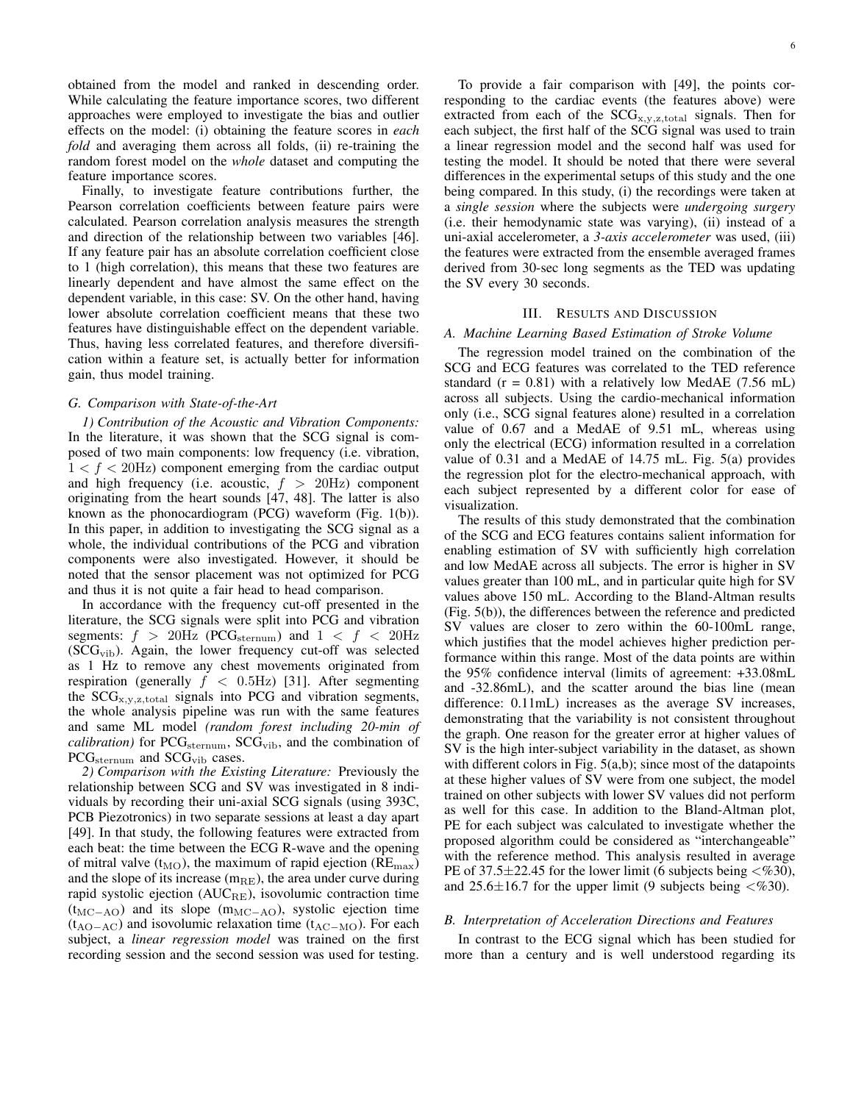obtained from the model and ranked in descending order. While calculating the feature importance scores, two different approaches were employed to investigate the bias and outlier effects on the model: (i) obtaining the feature scores in *each fold* and averaging them across all folds, (ii) re-training the random forest model on the *whole* dataset and computing the feature importance scores.

Finally, to investigate feature contributions further, the Pearson correlation coefficients between feature pairs were calculated. Pearson correlation analysis measures the strength and direction of the relationship between two variables [46]. If any feature pair has an absolute correlation coefficient close to 1 (high correlation), this means that these two features are linearly dependent and have almost the same effect on the dependent variable, in this case: SV. On the other hand, having lower absolute correlation coefficient means that these two features have distinguishable effect on the dependent variable. Thus, having less correlated features, and therefore diversification within a feature set, is actually better for information gain, thus model training.

#### *G. Comparison with State-of-the-Art*

*1) Contribution of the Acoustic and Vibration Components:* In the literature, it was shown that the SCG signal is composed of two main components: low frequency (i.e. vibration,  $1 < f < 20$ Hz) component emerging from the cardiac output and high frequency (i.e. acoustic,  $f > 20$ Hz) component originating from the heart sounds [47, 48]. The latter is also known as the phonocardiogram (PCG) waveform (Fig. 1(b)). In this paper, in addition to investigating the SCG signal as a whole, the individual contributions of the PCG and vibration components were also investigated. However, it should be noted that the sensor placement was not optimized for PCG and thus it is not quite a fair head to head comparison.

In accordance with the frequency cut-off presented in the literature, the SCG signals were split into PCG and vibration segments:  $f > 20$ Hz (PCG<sub>sternum</sub>) and  $1 < f < 20$ Hz  $(SCG_{vib})$ . Again, the lower frequency cut-off was selected as 1 Hz to remove any chest movements originated from respiration (generally  $f < 0.5$ Hz) [31]. After segmenting the  $SCG_{x,y,z,\text{total}}$  signals into PCG and vibration segments, the whole analysis pipeline was run with the same features and same ML model *(random forest including 20-min of calibration*) for PCG<sub>sternum</sub>, SCG<sub>vib</sub>, and the combination of PCG<sub>sternum</sub> and SCG<sub>vib</sub> cases.

*2) Comparison with the Existing Literature:* Previously the relationship between SCG and SV was investigated in 8 individuals by recording their uni-axial SCG signals (using 393C, PCB Piezotronics) in two separate sessions at least a day apart [49]. In that study, the following features were extracted from each beat: the time between the ECG R-wave and the opening of mitral valve  $(t_{\text{MO}})$ , the maximum of rapid ejection ( $RE_{\text{max}}$ ) and the slope of its increase  $(m_{RE})$ , the area under curve during rapid systolic ejection ( $AUC_{RE}$ ), isovolumic contraction time  $(t_{MC-AO})$  and its slope  $(m_{MC-AO})$ , systolic ejection time  $(t_{\text{AO}-\text{AC}})$  and isovolumic relaxation time ( $t_{\text{AC}-\text{MO}}$ ). For each subject, a *linear regression model* was trained on the first recording session and the second session was used for testing.

To provide a fair comparison with [49], the points corresponding to the cardiac events (the features above) were extracted from each of the  $SCG_{x,y,z,\text{total}}$  signals. Then for each subject, the first half of the SCG signal was used to train a linear regression model and the second half was used for testing the model. It should be noted that there were several differences in the experimental setups of this study and the one being compared. In this study, (i) the recordings were taken at a *single session* where the subjects were *undergoing surgery* (i.e. their hemodynamic state was varying), (ii) instead of a uni-axial accelerometer, a *3-axis accelerometer* was used, (iii) the features were extracted from the ensemble averaged frames derived from 30-sec long segments as the TED was updating the SV every 30 seconds.

## III. RESULTS AND DISCUSSION

#### *A. Machine Learning Based Estimation of Stroke Volume*

The regression model trained on the combination of the SCG and ECG features was correlated to the TED reference standard  $(r = 0.81)$  with a relatively low MedAE (7.56 mL) across all subjects. Using the cardio-mechanical information only (i.e., SCG signal features alone) resulted in a correlation value of 0.67 and a MedAE of 9.51 mL, whereas using only the electrical (ECG) information resulted in a correlation value of 0.31 and a MedAE of 14.75 mL. Fig. 5(a) provides the regression plot for the electro-mechanical approach, with each subject represented by a different color for ease of visualization.

The results of this study demonstrated that the combination of the SCG and ECG features contains salient information for enabling estimation of SV with sufficiently high correlation and low MedAE across all subjects. The error is higher in SV values greater than 100 mL, and in particular quite high for SV values above 150 mL. According to the Bland-Altman results (Fig. 5(b)), the differences between the reference and predicted SV values are closer to zero within the 60-100mL range, which justifies that the model achieves higher prediction performance within this range. Most of the data points are within the 95% confidence interval (limits of agreement: +33.08mL and -32.86mL), and the scatter around the bias line (mean difference: 0.11mL) increases as the average SV increases, demonstrating that the variability is not consistent throughout the graph. One reason for the greater error at higher values of SV is the high inter-subject variability in the dataset, as shown with different colors in Fig. 5(a,b); since most of the datapoints at these higher values of SV were from one subject, the model trained on other subjects with lower SV values did not perform as well for this case. In addition to the Bland-Altman plot, PE for each subject was calculated to investigate whether the proposed algorithm could be considered as "interchangeable" with the reference method. This analysis resulted in average PE of  $37.5 \pm 22.45$  for the lower limit (6 subjects being  $\langle \% 30 \rangle$ , and  $25.6 \pm 16.7$  for the upper limit (9 subjects being  $\langle \% 30 \rangle$ .

## *B. Interpretation of Acceleration Directions and Features*

In contrast to the ECG signal which has been studied for more than a century and is well understood regarding its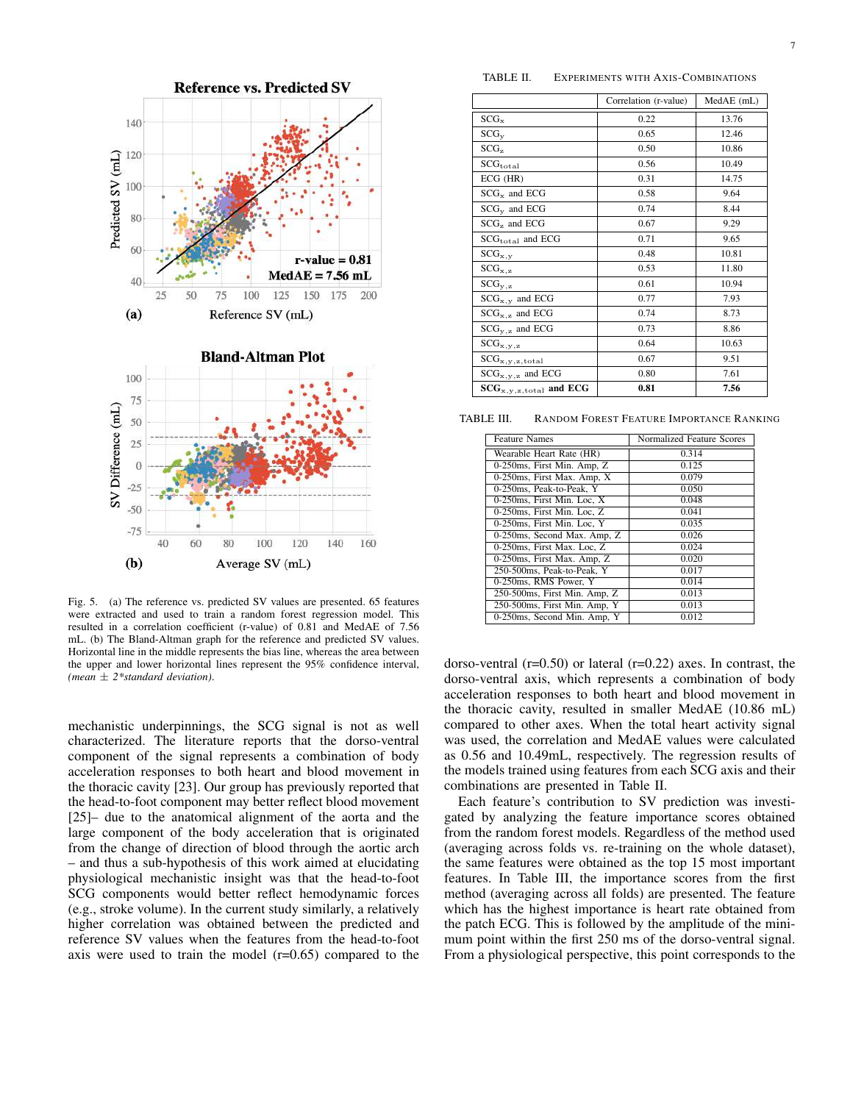

Fig. 5. (a) The reference vs. predicted SV values are presented. 65 features were extracted and used to train a random forest regression model. This resulted in a correlation coefficient (r-value) of 0.81 and MedAE of 7.56 mL. (b) The Bland-Altman graph for the reference and predicted SV values. Horizontal line in the middle represents the bias line, whereas the area between the upper and lower horizontal lines represent the 95% confidence interval, *(mean* ± *2\*standard deviation)*.

mechanistic underpinnings, the SCG signal is not as well characterized. The literature reports that the dorso-ventral component of the signal represents a combination of body acceleration responses to both heart and blood movement in the thoracic cavity [23]. Our group has previously reported that the head-to-foot component may better reflect blood movement [25]– due to the anatomical alignment of the aorta and the large component of the body acceleration that is originated from the change of direction of blood through the aortic arch – and thus a sub-hypothesis of this work aimed at elucidating physiological mechanistic insight was that the head-to-foot SCG components would better reflect hemodynamic forces (e.g., stroke volume). In the current study similarly, a relatively higher correlation was obtained between the predicted and reference SV values when the features from the head-to-foot axis were used to train the model  $(r=0.65)$  compared to the

TABLE II. EXPERIMENTS WITH AXIS-COMBINATIONS

|                                    | Correlation (r-value) | MedAE (mL) |  |  |
|------------------------------------|-----------------------|------------|--|--|
| $SCG_{x}$                          | 0.22                  | 13.76      |  |  |
| $SCG_{V}$                          | 0.65                  | 12.46      |  |  |
| SCG <sub>z</sub>                   | 0.50                  | 10.86      |  |  |
| $SCG_{\text{total}}$               | 0.56                  | 10.49      |  |  |
| ECG (HR)                           | 0.31                  | 14.75      |  |  |
| $SCGx$ and ECG                     | 0.58                  | 9.64       |  |  |
| $SCGv$ and ECG                     | 0.74                  | 8.44       |  |  |
| $SCGz$ and ECG                     | 0.67                  | 9.29       |  |  |
| $SCGtotal$ and ECG                 | 0.71                  | 9.65       |  |  |
| $SCG_{x,y}$                        | 0.48                  | 10.81      |  |  |
| $SCG_{x,z}$                        | 0.53                  | 11.80      |  |  |
| $SCG_{y,z}$                        | 0.61                  | 10.94      |  |  |
| $SCG_{X,Y}$ and ECG                | 0.77                  | 7.93       |  |  |
| $SCG_{X, z}$ and ECG               | 0.74                  | 8.73       |  |  |
| $SCG_{V,Z}$ and ECG                | 0.73                  | 8.86       |  |  |
| $\rm{SCG}_{x,y,z}$                 | 0.64                  | 10.63      |  |  |
| $\rm SCG_{x,y,z,total}$            | 0.67                  | 9.51       |  |  |
| $SCG_{x,y,z}$ and ECG              | 0.80                  | 7.61       |  |  |
| $SCG_{x,y,z,\text{total}}$ and ECG | 0.81                  | 7.56       |  |  |

TABLE III. RANDOM FOREST FEATURE IMPORTANCE RANKING

| <b>Feature Names</b>         | Normalized Feature Scores |  |  |  |
|------------------------------|---------------------------|--|--|--|
| Wearable Heart Rate (HR)     | 0.314                     |  |  |  |
| 0-250ms, First Min. Amp, Z   | 0.125                     |  |  |  |
| 0-250ms, First Max. Amp, X   | 0.079                     |  |  |  |
| 0-250ms. Peak-to-Peak. Y     | 0.050                     |  |  |  |
| 0-250ms, First Min. Loc, X   | 0.048                     |  |  |  |
| 0-250ms, First Min. Loc, Z   | 0.041                     |  |  |  |
| 0-250ms, First Min. Loc, Y   | 0.035                     |  |  |  |
| 0-250ms, Second Max. Amp, Z  | 0.026                     |  |  |  |
| 0-250ms. First Max. Loc. Z   | 0.024                     |  |  |  |
| 0-250ms, First Max. Amp, Z   | 0.020                     |  |  |  |
| 250-500ms. Peak-to-Peak. Y   | 0.017                     |  |  |  |
| 0-250ms, RMS Power, Y        | 0.014                     |  |  |  |
| 250-500ms, First Min. Amp, Z | 0.013                     |  |  |  |
| 250-500ms, First Min. Amp, Y | 0.013                     |  |  |  |
| 0-250ms, Second Min. Amp, Y  | 0.012                     |  |  |  |

dorso-ventral  $(r=0.50)$  or lateral  $(r=0.22)$  axes. In contrast, the dorso-ventral axis, which represents a combination of body acceleration responses to both heart and blood movement in the thoracic cavity, resulted in smaller MedAE (10.86 mL) compared to other axes. When the total heart activity signal was used, the correlation and MedAE values were calculated as 0.56 and 10.49mL, respectively. The regression results of the models trained using features from each SCG axis and their combinations are presented in Table II.

Each feature's contribution to SV prediction was investigated by analyzing the feature importance scores obtained from the random forest models. Regardless of the method used (averaging across folds vs. re-training on the whole dataset), the same features were obtained as the top 15 most important features. In Table III, the importance scores from the first method (averaging across all folds) are presented. The feature which has the highest importance is heart rate obtained from the patch ECG. This is followed by the amplitude of the minimum point within the first 250 ms of the dorso-ventral signal. From a physiological perspective, this point corresponds to the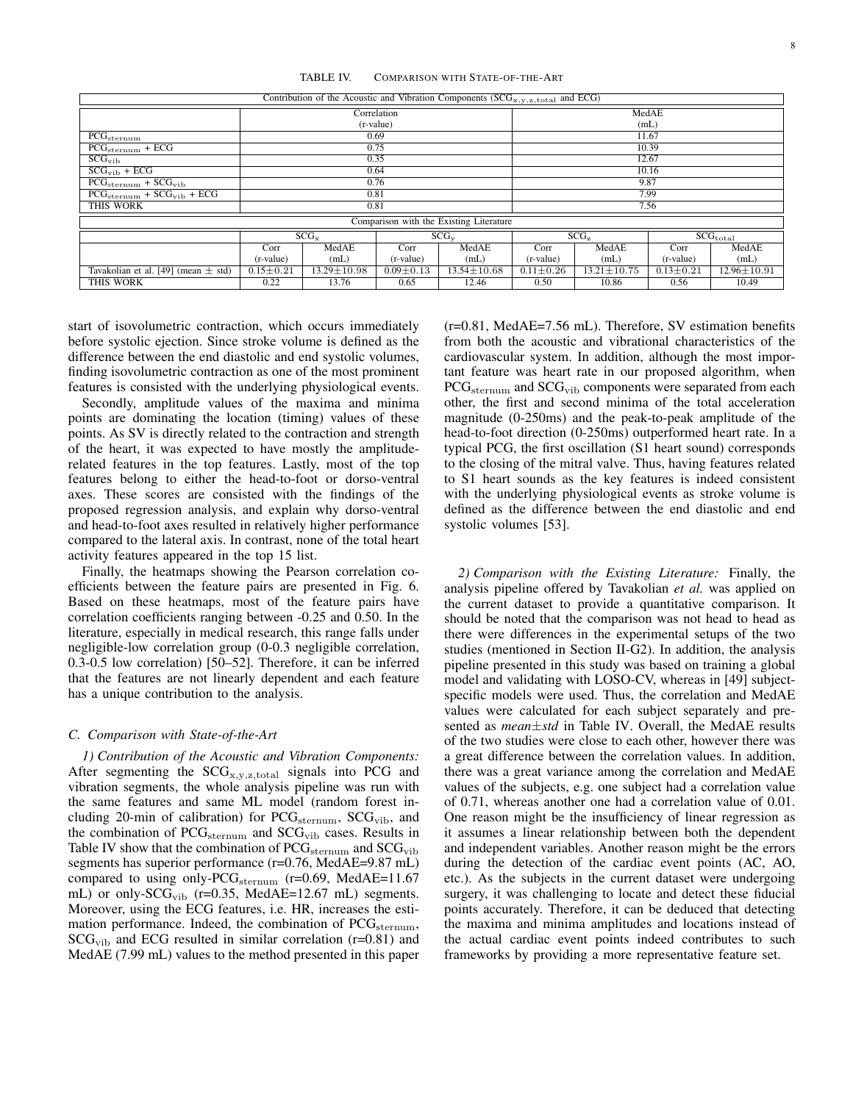TABLE IV. COMPARISON WITH STATE-OF-THE-ART

| Contribution of the Acoustic and Vibration Components ( $SCG_{x,y,z,\text{total}}$ and ECG) |                 |                   |                 |                   |                  |                   |                                          |                   |  |  |  |
|---------------------------------------------------------------------------------------------|-----------------|-------------------|-----------------|-------------------|------------------|-------------------|------------------------------------------|-------------------|--|--|--|
|                                                                                             | Correlation     |                   |                 | MedAE             |                  |                   |                                          |                   |  |  |  |
|                                                                                             | (r-value)       |                   |                 |                   | (mL)             |                   |                                          |                   |  |  |  |
| PG <sub>sternum</sub>                                                                       | 0.69            |                   |                 |                   | 11.67            |                   |                                          |                   |  |  |  |
| $PCG_{\rm sternum} + ECG$                                                                   | 0.75            |                   |                 |                   | 10.39            |                   |                                          |                   |  |  |  |
| $SCG_{\rm vib}$                                                                             | 0.35            |                   |                 | 12.67             |                  |                   |                                          |                   |  |  |  |
| $SCG_{\text{vib}} + ECG$                                                                    | 0.64            |                   |                 | 10.16             |                  |                   |                                          |                   |  |  |  |
| $PCG_{\rm sternum} + SCG_{\rm vib}$                                                         | 0.76            |                   |                 | 9.87              |                  |                   |                                          |                   |  |  |  |
| $PCG_{\rm{sternum}} + SCG_{\rm{vib}} + ECG$                                                 | 0.81            |                   |                 | 7.99              |                  |                   |                                          |                   |  |  |  |
| THIS WORK                                                                                   | 0.81            |                   |                 |                   | 7.56             |                   |                                          |                   |  |  |  |
| Comparison with the Existing Literature                                                     |                 |                   |                 |                   |                  |                   |                                          |                   |  |  |  |
|                                                                                             | $SCG_{x}$       |                   | $SCG_{V}$       |                   | SCG <sub>z</sub> |                   | $\overline{\mathrm{SCG}_\mathrm{total}}$ |                   |  |  |  |
|                                                                                             | Corr            | MedAE             | Corr            | MedAE             | Corr             | MedAE             | Corr                                     | MedAE             |  |  |  |
|                                                                                             | (r-value)       | (mL)              | (r-value)       | (mL)              | (r-value)        | (mL)              | (r-value)                                | (mL)              |  |  |  |
| Tavakolian et al. [49] (mean $\pm$ std)                                                     | $0.15 \pm 0.21$ | $13.29 \pm 10.98$ | $0.09 \pm 0.13$ | $13.54 \pm 10.68$ | $0.11 \pm 0.26$  | $13.21 \pm 10.75$ | $0.13 \pm 0.21$                          | $12.96 \pm 10.91$ |  |  |  |
| THIS WORK                                                                                   | 0.22            | 13.76             | 0.65            | 12.46             | 0.50             | 10.86             | 0.56                                     | 10.49             |  |  |  |

start of isovolumetric contraction, which occurs immediately before systolic ejection. Since stroke volume is defined as the difference between the end diastolic and end systolic volumes, finding isovolumetric contraction as one of the most prominent features is consisted with the underlying physiological events.

Secondly, amplitude values of the maxima and minima points are dominating the location (timing) values of these points. As SV is directly related to the contraction and strength of the heart, it was expected to have mostly the amplituderelated features in the top features. Lastly, most of the top features belong to either the head-to-foot or dorso-ventral axes. These scores are consisted with the findings of the proposed regression analysis, and explain why dorso-ventral and head-to-foot axes resulted in relatively higher performance compared to the lateral axis. In contrast, none of the total heart activity features appeared in the top 15 list.

Finally, the heatmaps showing the Pearson correlation coefficients between the feature pairs are presented in Fig. 6. Based on these heatmaps, most of the feature pairs have correlation coefficients ranging between -0.25 and 0.50. In the literature, especially in medical research, this range falls under negligible-low correlation group (0-0.3 negligible correlation, 0.3-0.5 low correlation) [50–52]. Therefore, it can be inferred that the features are not linearly dependent and each feature has a unique contribution to the analysis.

# *C. Comparison with State-of-the-Art*

*1) Contribution of the Acoustic and Vibration Components:* After segmenting the  $SCG_{x,y,z,total}$  signals into PCG and vibration segments, the whole analysis pipeline was run with the same features and same ML model (random forest including 20-min of calibration) for  $PCG_{\rm{sternum}}$ ,  $SCG_{\rm{vib}}$ , and the combination of  $PCG_{\text{sternum}}$  and  $SCG_{\text{vib}}$  cases. Results in Table IV show that the combination of  $PCG_{\rm{sternum}}$  and  $SCG_{\rm{vib}}$ segments has superior performance (r=0.76, MedAE=9.87 mL) compared to using only-PC $G_{\text{sternum}}$  (r=0.69, MedAE=11.67 mL) or only- $SCG_{vib}$  (r=0.35, MedAE=12.67 mL) segments. Moreover, using the ECG features, i.e. HR, increases the estimation performance. Indeed, the combination of  $PCG_{\text{sternum}}$ ,  $SCG_{vib}$  and ECG resulted in similar correlation (r=0.81) and MedAE (7.99 mL) values to the method presented in this paper (r=0.81, MedAE=7.56 mL). Therefore, SV estimation benefits from both the acoustic and vibrational characteristics of the cardiovascular system. In addition, although the most important feature was heart rate in our proposed algorithm, when PCG<sub>sternum</sub> and SCG<sub>vib</sub> components were separated from each other, the first and second minima of the total acceleration magnitude (0-250ms) and the peak-to-peak amplitude of the head-to-foot direction (0-250ms) outperformed heart rate. In a typical PCG, the first oscillation (S1 heart sound) corresponds to the closing of the mitral valve. Thus, having features related to S1 heart sounds as the key features is indeed consistent with the underlying physiological events as stroke volume is defined as the difference between the end diastolic and end systolic volumes [53].

*2) Comparison with the Existing Literature:* Finally, the analysis pipeline offered by Tavakolian *et al.* was applied on the current dataset to provide a quantitative comparison. It should be noted that the comparison was not head to head as there were differences in the experimental setups of the two studies (mentioned in Section II-G2). In addition, the analysis pipeline presented in this study was based on training a global model and validating with LOSO-CV, whereas in [49] subjectspecific models were used. Thus, the correlation and MedAE values were calculated for each subject separately and presented as *mean*±*std* in Table IV. Overall, the MedAE results of the two studies were close to each other, however there was a great difference between the correlation values. In addition, there was a great variance among the correlation and MedAE values of the subjects, e.g. one subject had a correlation value of 0.71, whereas another one had a correlation value of 0.01. One reason might be the insufficiency of linear regression as it assumes a linear relationship between both the dependent and independent variables. Another reason might be the errors during the detection of the cardiac event points (AC, AO, etc.). As the subjects in the current dataset were undergoing surgery, it was challenging to locate and detect these fiducial points accurately. Therefore, it can be deduced that detecting the maxima and minima amplitudes and locations instead of the actual cardiac event points indeed contributes to such frameworks by providing a more representative feature set.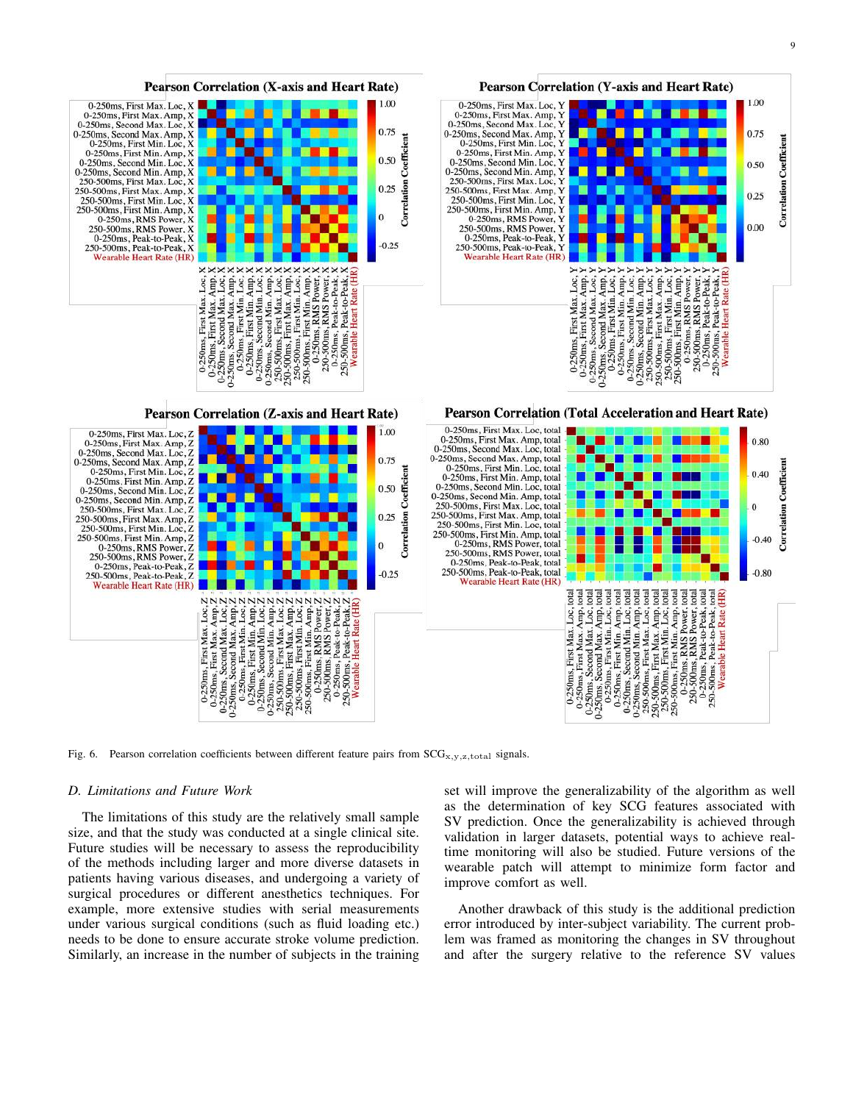![](_page_8_Figure_1.jpeg)

Fig. 6. Pearson correlation coefficients between different feature pairs from  $SCG_{X,Y,Z,\text{total}}$  signals.

#### *D. Limitations and Future Work*

The limitations of this study are the relatively small sample size, and that the study was conducted at a single clinical site. Future studies will be necessary to assess the reproducibility of the methods including larger and more diverse datasets in patients having various diseases, and undergoing a variety of surgical procedures or different anesthetics techniques. For example, more extensive studies with serial measurements under various surgical conditions (such as fluid loading etc.) needs to be done to ensure accurate stroke volume prediction. Similarly, an increase in the number of subjects in the training set will improve the generalizability of the algorithm as well as the determination of key SCG features associated with SV prediction. Once the generalizability is achieved through validation in larger datasets, potential ways to achieve realtime monitoring will also be studied. Future versions of the wearable patch will attempt to minimize form factor and improve comfort as well.

Another drawback of this study is the additional prediction error introduced by inter-subject variability. The current problem was framed as monitoring the changes in SV throughout and after the surgery relative to the reference SV values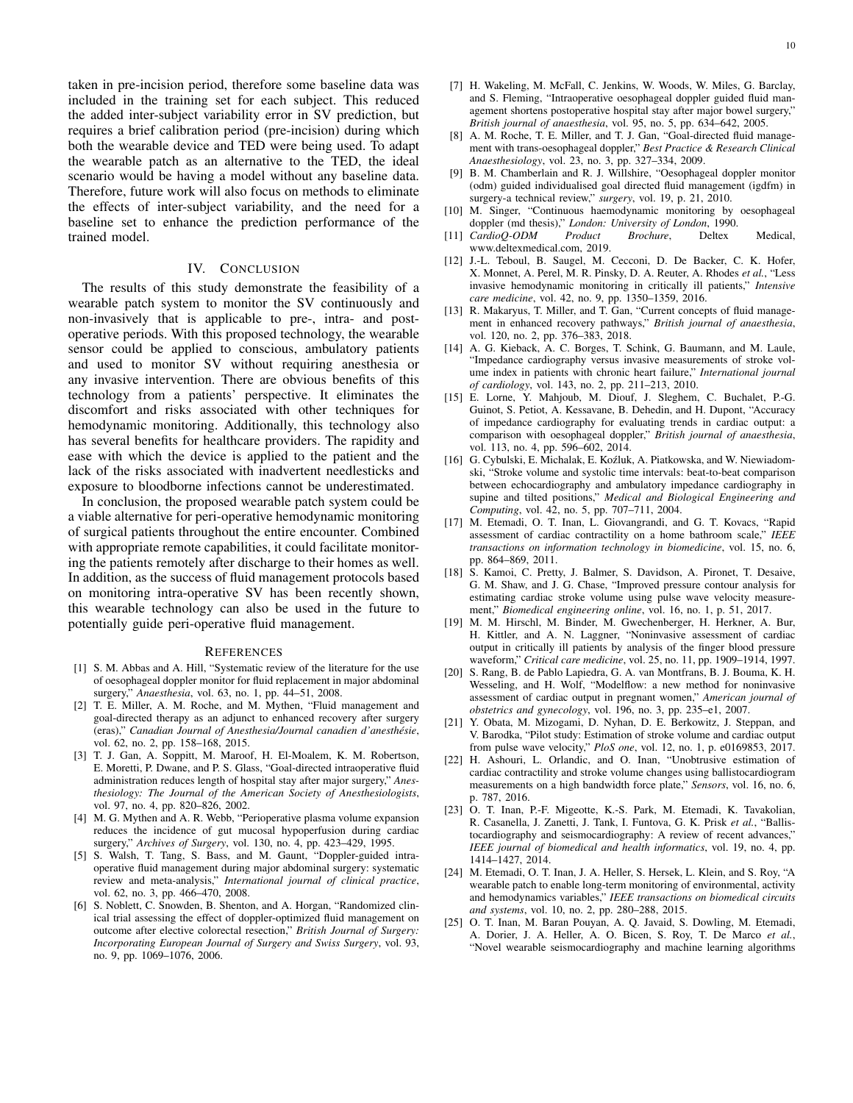taken in pre-incision period, therefore some baseline data was included in the training set for each subject. This reduced the added inter-subject variability error in SV prediction, but requires a brief calibration period (pre-incision) during which both the wearable device and TED were being used. To adapt the wearable patch as an alternative to the TED, the ideal scenario would be having a model without any baseline data. Therefore, future work will also focus on methods to eliminate the effects of inter-subject variability, and the need for a baseline set to enhance the prediction performance of the trained model.

## IV. CONCLUSION

The results of this study demonstrate the feasibility of a wearable patch system to monitor the SV continuously and non-invasively that is applicable to pre-, intra- and postoperative periods. With this proposed technology, the wearable sensor could be applied to conscious, ambulatory patients and used to monitor SV without requiring anesthesia or any invasive intervention. There are obvious benefits of this technology from a patients' perspective. It eliminates the discomfort and risks associated with other techniques for hemodynamic monitoring. Additionally, this technology also has several benefits for healthcare providers. The rapidity and ease with which the device is applied to the patient and the lack of the risks associated with inadvertent needlesticks and exposure to bloodborne infections cannot be underestimated.

In conclusion, the proposed wearable patch system could be a viable alternative for peri-operative hemodynamic monitoring of surgical patients throughout the entire encounter. Combined with appropriate remote capabilities, it could facilitate monitoring the patients remotely after discharge to their homes as well. In addition, as the success of fluid management protocols based on monitoring intra-operative SV has been recently shown, this wearable technology can also be used in the future to potentially guide peri-operative fluid management.

## **REFERENCES**

- [1] S. M. Abbas and A. Hill, "Systematic review of the literature for the use of oesophageal doppler monitor for fluid replacement in major abdominal surgery," *Anaesthesia*, vol. 63, no. 1, pp. 44–51, 2008.
- [2] T. E. Miller, A. M. Roche, and M. Mythen, "Fluid management and goal-directed therapy as an adjunct to enhanced recovery after surgery (eras)," Canadian Journal of Anesthesia/Journal canadien d'anesthésie, vol. 62, no. 2, pp. 158–168, 2015.
- [3] T. J. Gan, A. Soppitt, M. Maroof, H. El-Moalem, K. M. Robertson, E. Moretti, P. Dwane, and P. S. Glass, "Goal-directed intraoperative fluid administration reduces length of hospital stay after major surgery," *Anesthesiology: The Journal of the American Society of Anesthesiologists*, vol. 97, no. 4, pp. 820–826, 2002.
- [4] M. G. Mythen and A. R. Webb, "Perioperative plasma volume expansion reduces the incidence of gut mucosal hypoperfusion during cardiac surgery," *Archives of Surgery*, vol. 130, no. 4, pp. 423–429, 1995.
- [5] S. Walsh, T. Tang, S. Bass, and M. Gaunt, "Doppler-guided intraoperative fluid management during major abdominal surgery: systematic review and meta-analysis," *International journal of clinical practice*, vol. 62, no. 3, pp. 466–470, 2008.
- [6] S. Noblett, C. Snowden, B. Shenton, and A. Horgan, "Randomized clinical trial assessing the effect of doppler-optimized fluid management on outcome after elective colorectal resection," *British Journal of Surgery: Incorporating European Journal of Surgery and Swiss Surgery*, vol. 93, no. 9, pp. 1069–1076, 2006.
- [7] H. Wakeling, M. McFall, C. Jenkins, W. Woods, W. Miles, G. Barclay, and S. Fleming, "Intraoperative oesophageal doppler guided fluid management shortens postoperative hospital stay after major bowel surgery," *British journal of anaesthesia*, vol. 95, no. 5, pp. 634–642, 2005.
- [8] A. M. Roche, T. E. Miller, and T. J. Gan, "Goal-directed fluid management with trans-oesophageal doppler," *Best Practice & Research Clinical Anaesthesiology*, vol. 23, no. 3, pp. 327–334, 2009.
- [9] B. M. Chamberlain and R. J. Willshire, "Oesophageal doppler monitor (odm) guided individualised goal directed fluid management (igdfm) in surgery-a technical review," *surgery*, vol. 19, p. 21, 2010.
- [10] M. Singer, "Continuous haemodynamic monitoring by oesophageal doppler (md thesis)," *London: University of London*, 1990.
- [11] *CardioQ-ODM Product Brochure*, Deltex Medical, www.deltexmedical.com, 2019.
- [12] J.-L. Teboul, B. Saugel, M. Cecconi, D. De Backer, C. K. Hofer, X. Monnet, A. Perel, M. R. Pinsky, D. A. Reuter, A. Rhodes *et al.*, "Less invasive hemodynamic monitoring in critically ill patients," *Intensive care medicine*, vol. 42, no. 9, pp. 1350–1359, 2016.
- [13] R. Makaryus, T. Miller, and T. Gan, "Current concepts of fluid management in enhanced recovery pathways," *British journal of anaesthesia*, vol. 120, no. 2, pp. 376–383, 2018.
- [14] A. G. Kieback, A. C. Borges, T. Schink, G. Baumann, and M. Laule, "Impedance cardiography versus invasive measurements of stroke volume index in patients with chronic heart failure," *International journal of cardiology*, vol. 143, no. 2, pp. 211–213, 2010.
- [15] E. Lorne, Y. Mahjoub, M. Diouf, J. Sleghem, C. Buchalet, P.-G. Guinot, S. Petiot, A. Kessavane, B. Dehedin, and H. Dupont, "Accuracy of impedance cardiography for evaluating trends in cardiac output: a comparison with oesophageal doppler," *British journal of anaesthesia*, vol. 113, no. 4, pp. 596–602, 2014.
- [16] G. Cybulski, E. Michalak, E. Koźluk, A. Piatkowska, and W. Niewiadomski, "Stroke volume and systolic time intervals: beat-to-beat comparison between echocardiography and ambulatory impedance cardiography in supine and tilted positions," *Medical and Biological Engineering and Computing*, vol. 42, no. 5, pp. 707–711, 2004.
- [17] M. Etemadi, O. T. Inan, L. Giovangrandi, and G. T. Kovacs, "Rapid assessment of cardiac contractility on a home bathroom scale," *IEEE transactions on information technology in biomedicine*, vol. 15, no. 6, pp. 864–869, 2011.
- [18] S. Kamoi, C. Pretty, J. Balmer, S. Davidson, A. Pironet, T. Desaive, G. M. Shaw, and J. G. Chase, "Improved pressure contour analysis for estimating cardiac stroke volume using pulse wave velocity measurement," *Biomedical engineering online*, vol. 16, no. 1, p. 51, 2017.
- [19] M. M. Hirschl, M. Binder, M. Gwechenberger, H. Herkner, A. Bur, H. Kittler, and A. N. Laggner, "Noninvasive assessment of cardiac output in critically ill patients by analysis of the finger blood pressure waveform," *Critical care medicine*, vol. 25, no. 11, pp. 1909–1914, 1997.
- [20] S. Rang, B. de Pablo Lapiedra, G. A. van Montfrans, B. J. Bouma, K. H. Wesseling, and H. Wolf, "Modelflow: a new method for noninvasive assessment of cardiac output in pregnant women," *American journal of obstetrics and gynecology*, vol. 196, no. 3, pp. 235–e1, 2007.
- [21] Y. Obata, M. Mizogami, D. Nyhan, D. E. Berkowitz, J. Steppan, and V. Barodka, "Pilot study: Estimation of stroke volume and cardiac output from pulse wave velocity," *PloS one*, vol. 12, no. 1, p. e0169853, 2017.
- [22] H. Ashouri, L. Orlandic, and O. Inan, "Unobtrusive estimation of cardiac contractility and stroke volume changes using ballistocardiogram measurements on a high bandwidth force plate," *Sensors*, vol. 16, no. 6, p. 787, 2016.
- [23] O. T. Inan, P.-F. Migeotte, K.-S. Park, M. Etemadi, K. Tavakolian, R. Casanella, J. Zanetti, J. Tank, I. Funtova, G. K. Prisk *et al.*, "Ballistocardiography and seismocardiography: A review of recent advances," *IEEE journal of biomedical and health informatics*, vol. 19, no. 4, pp. 1414–1427, 2014.
- [24] M. Etemadi, O. T. Inan, J. A. Heller, S. Hersek, L. Klein, and S. Roy, "A wearable patch to enable long-term monitoring of environmental, activity and hemodynamics variables," *IEEE transactions on biomedical circuits and systems*, vol. 10, no. 2, pp. 280–288, 2015.
- [25] O. T. Inan, M. Baran Pouyan, A. Q. Javaid, S. Dowling, M. Etemadi, A. Dorier, J. A. Heller, A. O. Bicen, S. Roy, T. De Marco *et al.*, "Novel wearable seismocardiography and machine learning algorithms